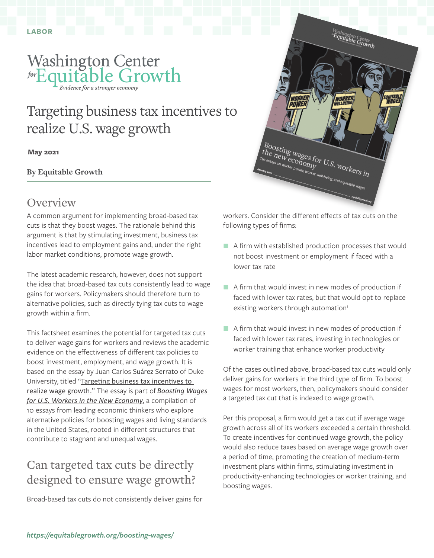<span id="page-0-0"></span>

# Targeting business tax incentives to realize U.S. wage growth

#### **May 2021**

**By Equitable Growth**

#### **Overview**

A common argument for implementing broad-based tax cuts is that they boost wages. The rationale behind this argument is that by stimulating investment, business tax incentives lead to employment gains and, under the right labor market conditions, promote wage growth.

The latest academic research, however, does not support the idea that broad-based tax cuts consistently lead to wage gains for workers. Policymakers should therefore turn to alternative policies, such as directly tying tax cuts to wage growth within a firm.

This factsheet examines the potential for targeted tax cuts to deliver wage gains for workers and reviews the academic evidence on the effectiveness of different tax policies to boost investment, employment, and wage growth. It is based on the essay by Juan Carlos Suárez Serrato of Duke University, titled "Targeting business tax incentives to [realize wage growth](https://equitablegrowth.org/targeting-business-tax-incentives-to-realize-u-s-wage-growth/)." The essay is part of *[Boosting Wages](https://equitablegrowth.org/insights-expertise/boosting-wages/)  [for U.S. Workers in the New Economy](https://equitablegrowth.org/insights-expertise/boosting-wages/)*, a compilation of 10 essays from leading economic thinkers who explore alternative policies for boosting wages and living standards in the United States, rooted in different structures that contribute to stagnant and unequal wages.

### Can targeted tax cuts be directly designed to ensure wage growth?

Broad-based tax cuts do not consistently deliver gains for



workers. Consider the different effects of tax cuts on the following types of firms:

- A firm with established production processes that would not boost investment or employment if faced with a lower tax rate
- $\blacksquare$  A firm that would invest in new modes of production if faced with lower tax rates, but that would opt to replace existing workers through automation<sup>[1](#page-1-0)</sup>
- A firm that would invest in new modes of production if faced with lower tax rates, investing in technologies or worker training that enhance worker productivity

Of the cases outlined above, broad-based tax cuts would only deliver gains for workers in the third type of firm. To boost wages for most workers, then, policymakers should consider a targeted tax cut that is indexed to wage growth.

Per this proposal, a firm would get a tax cut if average wage growth across all of its workers exceeded a certain threshold. To create incentives for continued wage growth, the policy would also reduce taxes based on average wage growth over a period of time, promoting the creation of medium-term investment plans within firms, stimulating investment in productivity-enhancing technologies or worker training, and boosting wages.